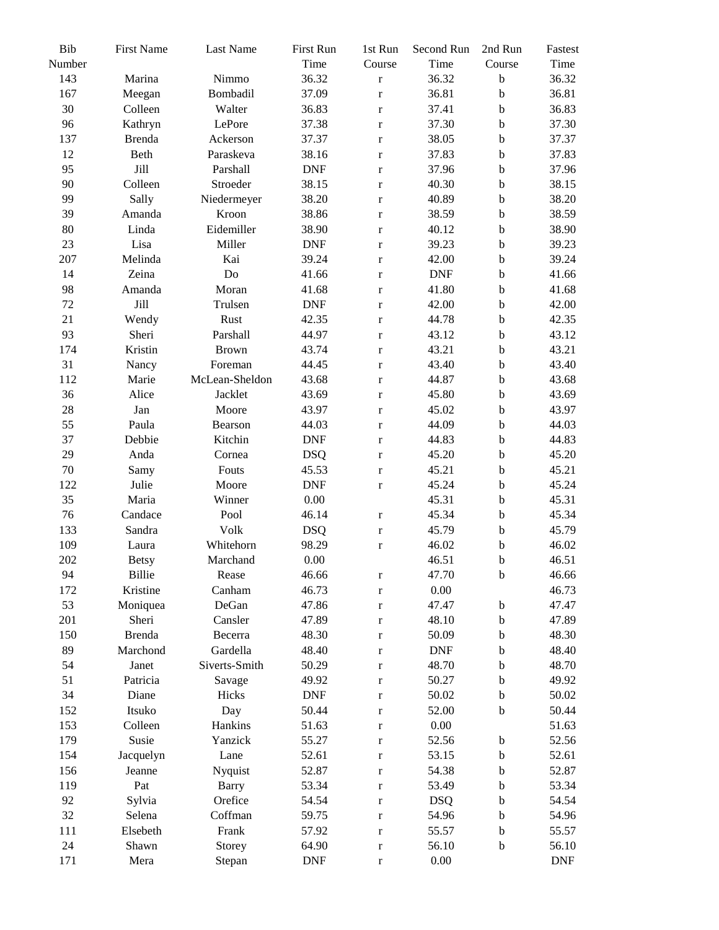| Bib    | <b>First Name</b> | Last Name      | First Run  | 1st Run     | Second Run | 2nd Run     | Fastest    |
|--------|-------------------|----------------|------------|-------------|------------|-------------|------------|
| Number |                   |                | Time       | Course      | Time       | Course      | Time       |
| 143    | Marina            | Nimmo          | 36.32      | $\mathbf r$ | 36.32      | $\bf b$     | 36.32      |
| 167    | Meegan            | Bombadil       | 37.09      | $\mathbf r$ | 36.81      | $\mathbf b$ | 36.81      |
| 30     | Colleen           | Walter         | 36.83      | $\mathbf r$ | 37.41      | $\bf b$     | 36.83      |
| 96     | Kathryn           | LePore         | 37.38      | $\mathbf r$ | 37.30      | $\mathbf b$ | 37.30      |
| 137    | <b>Brenda</b>     | Ackerson       | 37.37      | $\mathbf r$ | 38.05      | $\bf b$     | 37.37      |
| 12     | Beth              | Paraskeva      | 38.16      | $\mathbf r$ | 37.83      | $\mathbf b$ | 37.83      |
| 95     | Jill              | Parshall       | <b>DNF</b> | $\mathbf r$ | 37.96      | $\mathbf b$ | 37.96      |
| 90     | Colleen           | Stroeder       | 38.15      | $\mathbf r$ | 40.30      | $\bf b$     | 38.15      |
| 99     | Sally             | Niedermeyer    | 38.20      | $\mathbf r$ | 40.89      | $\mathbf b$ | 38.20      |
| 39     | Amanda            | Kroon          | 38.86      | $\mathbf r$ | 38.59      | $\mathbf b$ | 38.59      |
| 80     | Linda             | Eidemiller     | 38.90      | $\mathbf r$ | 40.12      | $\mathbf b$ | 38.90      |
| 23     | Lisa              | Miller         | <b>DNF</b> | $\mathbf r$ | 39.23      | $\bf b$     | 39.23      |
| 207    | Melinda           | Kai            | 39.24      | $\mathbf r$ | 42.00      | $\bf b$     | 39.24      |
| 14     | Zeina             | Do             | 41.66      | $\mathbf r$ | <b>DNF</b> | $\bf b$     | 41.66      |
| 98     | Amanda            | Moran          | 41.68      | $\bf r$     | 41.80      | $\rm b$     | 41.68      |
| 72     | Jill              | Trulsen        | <b>DNF</b> | $\mathbf r$ | 42.00      | $\rm b$     | 42.00      |
| 21     | Wendy             | Rust           | 42.35      | $\mathbf r$ | 44.78      | $\mathbf b$ | 42.35      |
| 93     | Sheri             | Parshall       | 44.97      | $\mathbf r$ | 43.12      | $\mathbf b$ | 43.12      |
| 174    | Kristin           | Brown          | 43.74      | $\mathbf r$ | 43.21      | $\mathbf b$ | 43.21      |
| 31     | Nancy             | Foreman        | 44.45      | $\mathbf r$ | 43.40      | $\bf b$     | 43.40      |
| 112    | Marie             | McLean-Sheldon | 43.68      | $\mathbf r$ | 44.87      | $\bf b$     | 43.68      |
| 36     | Alice             | Jacklet        | 43.69      | $\mathbf r$ | 45.80      | $\mathbf b$ | 43.69      |
| 28     | Jan               | Moore          | 43.97      | $\mathbf r$ | 45.02      | $\mathbf b$ | 43.97      |
| 55     | Paula             | Bearson        | 44.03      | $\mathbf r$ | 44.09      | $\mathbf b$ | 44.03      |
| 37     | Debbie            | Kitchin        | <b>DNF</b> | $\mathbf r$ | 44.83      | $\mathbf b$ | 44.83      |
| 29     | Anda              | Cornea         | <b>DSQ</b> | $\mathbf r$ | 45.20      | $\mathbf b$ | 45.20      |
| $70\,$ | Samy              | Fouts          | 45.53      | $\mathbf r$ | 45.21      | $\mathbf b$ | 45.21      |
| 122    | Julie             | Moore          | <b>DNF</b> | $\mathbf r$ | 45.24      | $\bf b$     | 45.24      |
| 35     | Maria             | Winner         | 0.00       |             | 45.31      | $\mathbf b$ | 45.31      |
| 76     | Candace           | Pool           | 46.14      | $\mathbf r$ | 45.34      | $\rm b$     | 45.34      |
| 133    | Sandra            | Volk           | <b>DSQ</b> | $\mathbf r$ | 45.79      | $\bf b$     | 45.79      |
| 109    | Laura             | Whitehorn      | 98.29      | $\mathbf r$ | 46.02      | $\mathbf b$ | 46.02      |
| 202    | <b>Betsy</b>      | Marchand       | 0.00       |             | 46.51      | $\mathbf b$ | 46.51      |
| 94     | Billie            | Rease          | 46.66      | $\mathbf r$ | 47.70      | $\mathbf b$ | 46.66      |
| 172    | Kristine          | Canham         | 46.73      | $\mathbf r$ | $0.00\,$   |             | 46.73      |
| 53     | Moniquea          | DeGan          | 47.86      | $\mathbf r$ | 47.47      | $\mathbf b$ | 47.47      |
| 201    | Sheri             | Cansler        | 47.89      | $\mathbf r$ | 48.10      | $\mathbf b$ | 47.89      |
| 150    | <b>Brenda</b>     | Becerra        | 48.30      | $\mathbf r$ | 50.09      | $\mathbf b$ | 48.30      |
| 89     | Marchond          | Gardella       | 48.40      | $\mathbf r$ | <b>DNF</b> | $\mathbf b$ | 48.40      |
| 54     | Janet             | Siverts-Smith  | 50.29      | $\mathbf r$ | 48.70      | $\mathbf b$ | 48.70      |
| 51     | Patricia          | Savage         | 49.92      | $\mathbf r$ | 50.27      | $\mathbf b$ | 49.92      |
| 34     | Diane             | Hicks          | <b>DNF</b> | $\mathbf r$ | 50.02      | $\mathbf b$ | 50.02      |
| 152    | Itsuko            | Day            | 50.44      | $\mathbf r$ | 52.00      | $\mathbf b$ | 50.44      |
| 153    | Colleen           | Hankins        | 51.63      | $\mathbf r$ | $0.00\,$   |             | 51.63      |
| 179    | Susie             | Yanzick        | 55.27      | $\mathbf r$ | 52.56      | $\mathbf b$ | 52.56      |
| 154    | Jacquelyn         | Lane           | 52.61      | $\mathbf r$ | 53.15      | $\mathbf b$ | 52.61      |
| 156    | Jeanne            | Nyquist        | 52.87      | $\mathbf r$ | 54.38      | $\mathbf b$ | 52.87      |
| 119    | Pat               | <b>Barry</b>   | 53.34      | $\mathbf r$ | 53.49      | $\mathbf b$ | 53.34      |
| 92     | Sylvia            | Orefice        | 54.54      | $\mathbf r$ | <b>DSQ</b> | $\mathbf b$ | 54.54      |
| 32     | Selena            | Coffman        | 59.75      | $\mathbf r$ | 54.96      | $\mathbf b$ | 54.96      |
| 111    | Elsebeth          | Frank          | 57.92      | $\mathbf r$ | 55.57      | $\mathbf b$ | 55.57      |
| 24     | Shawn             | Storey         | 64.90      | $\mathbf r$ | 56.10      | $\mathbf b$ | 56.10      |
| 171    | Mera              | Stepan         | <b>DNF</b> | $\mathbf r$ | $0.00\,$   |             | <b>DNF</b> |
|        |                   |                |            |             |            |             |            |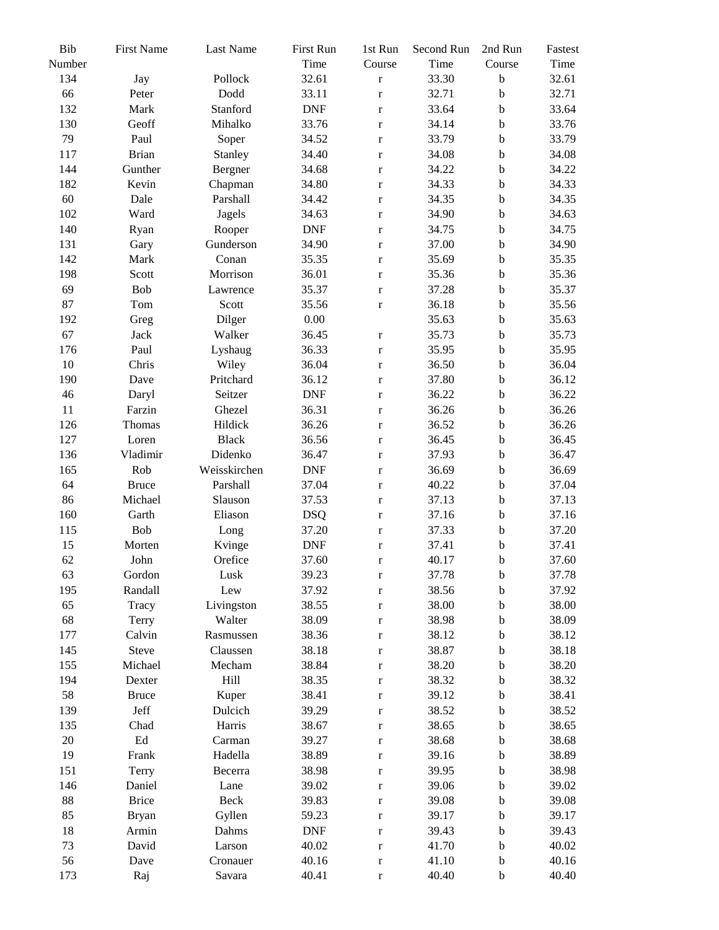| Bib<br>Number | <b>First Name</b>   | Last Name    | First Run<br>Time | 1st Run<br>Course | Second Run<br>Time | 2nd Run<br>Course | Fastest<br>Time |
|---------------|---------------------|--------------|-------------------|-------------------|--------------------|-------------------|-----------------|
| 134           | Jay                 | Pollock      | 32.61             |                   | 33.30              | $\mathbf b$       | 32.61           |
| 66            | Peter               | Dodd         | 33.11             | $\bf r$           | 32.71              | $\mathbf b$       | 32.71           |
| 132           | Mark                | Stanford     | <b>DNF</b>        | $\mathbf r$       | 33.64              | $\mathbf b$       | 33.64           |
|               |                     |              |                   | $\mathbf r$       |                    |                   |                 |
| 130           | Geoff               | Mihalko      | 33.76             | $\mathbf r$       | 34.14              | $\mathbf b$       | 33.76           |
| 79            | Paul                | Soper        | 34.52             | $\mathbf r$       | 33.79              | $\mathbf b$       | 33.79           |
| 117           | <b>Brian</b>        | Stanley      | 34.40             | $\mathbf r$       | 34.08              | $\mathbf b$       | 34.08           |
| 144           | Gunther             | Bergner      | 34.68             | $\mathbf r$       | 34.22              | $\mathbf b$       | 34.22           |
| 182           | Kevin               | Chapman      | 34.80             | $\mathbf r$       | 34.33              | $\mathbf b$       | 34.33           |
| 60            | Dale                | Parshall     | 34.42             | $\mathbf r$       | 34.35              | $\mathbf b$       | 34.35           |
| 102           | Ward                | Jagels       | 34.63             | $\mathbf r$       | 34.90              | $\mathbf b$       | 34.63           |
| 140           | Ryan                | Rooper       | <b>DNF</b>        | $\mathbf r$       | 34.75              | $\mathbf b$       | 34.75           |
| 131           | Gary                | Gunderson    | 34.90             | $\mathbf r$       | 37.00              | $\mathbf b$       | 34.90           |
| 142           | Mark                | Conan        | 35.35             | $\mathbf r$       | 35.69              | $\mathbf b$       | 35.35           |
| 198           | Scott               | Morrison     | 36.01             | $\mathbf r$       | 35.36              | $\mathbf b$       | 35.36           |
| 69            | Bob                 | Lawrence     | 35.37             | $\mathbf r$       | 37.28              | $\mathbf b$       | 35.37           |
| 87            | Tom                 | Scott        | 35.56             | $\mathbf r$       | 36.18              | $\mathbf b$       | 35.56           |
| 192           | Greg                | Dilger       | 0.00              |                   | 35.63              | $\mathbf b$       | 35.63           |
| 67            | Jack                | Walker       | 36.45             | $\mathbf r$       | 35.73              | $\mathbf b$       | 35.73           |
| 176           | Paul                | Lyshaug      | 36.33             | $\mathbf r$       | 35.95              | $\mathbf b$       | 35.95           |
| 10            | Chris               | Wiley        | 36.04             | $\mathbf r$       | 36.50              | $\mathbf b$       | 36.04           |
| 190           | Dave                | Pritchard    | 36.12             | $\mathbf r$       | 37.80              | $\mathbf b$       | 36.12           |
| 46            | Daryl               | Seitzer      | <b>DNF</b>        | $\mathbf r$       | 36.22              | $\mathbf b$       | 36.22           |
| 11            | Farzin              | Ghezel       | 36.31             | $\mathbf r$       | 36.26              | $\mathbf b$       | 36.26           |
| 126           | Thomas              | Hildick      | 36.26             | $\mathbf r$       | 36.52              | $\mathbf b$       | 36.26           |
| 127           | Loren               | <b>Black</b> | 36.56             | $\mathbf r$       | 36.45              | $\mathbf b$       | 36.45           |
| 136           | Vladimir            | Didenko      | 36.47             | $\mathbf r$       | 37.93              | $\mathbf b$       | 36.47           |
| 165           | Rob                 | Weisskirchen | <b>DNF</b>        | $\mathbf r$       | 36.69              | $\mathbf b$       | 36.69           |
| 64            | <b>Bruce</b>        | Parshall     | 37.04             | $\mathbf r$       | 40.22              | $\mathbf b$       | 37.04           |
| 86            | Michael             | Slauson      | 37.53             | $\bf r$           | 37.13              | $\mathbf b$       | 37.13           |
| 160           | Garth               | Eliason      | <b>DSQ</b>        | $\mathbf r$       | 37.16              | $\mathbf b$       | 37.16           |
| 115           | Bob                 | Long         | 37.20             | $\bf r$           | 37.33              | $\mathbf b$       | 37.20           |
| 15            | Morten              | Kvinge       | <b>DNF</b>        | $\mathbf r$       | 37.41              | $\mathbf b$       | 37.41           |
| 62            | John                | Orefice      | 37.60             | $\mathbf r$       | 40.17              | $\mathbf b$       | 37.60           |
| 63            | Gordon              | Lusk         | 39.23             |                   | 37.78              | $\mathbf b$       | 37.78           |
| 195           | Randall             | Lew          | 37.92             | $\bf r$           | 38.56              | b                 | 37.92           |
| 65            |                     |              | 38.55             | $\mathbf r$       |                    | $\bf b$           | 38.00           |
|               | Tracy               | Livingston   |                   | $\mathbf r$       | 38.00              |                   |                 |
| 68            | Terry               | Walter       | 38.09             | $\mathbf r$       | 38.98              | $\mathbf b$       | 38.09           |
| 177           | Calvin              | Rasmussen    | 38.36             | $\bf r$           | 38.12              | $\mathbf b$       | 38.12           |
| 145           | Steve               | Claussen     | 38.18             | $\mathbf r$       | 38.87              | b                 | 38.18           |
| 155           | Michael             | Mecham       | 38.84             | $\mathbf r$       | 38.20              | b                 | 38.20           |
| 194           | Dexter              | Hill         | 38.35             | $\mathbf r$       | 38.32              | $\mathbf b$       | 38.32           |
| 58            | <b>Bruce</b>        | Kuper        | 38.41             | $\mathbf r$       | 39.12              | b                 | 38.41           |
| 139           | Jeff                | Dulcich      | 39.29             | $\mathbf r$       | 38.52              | b                 | 38.52           |
| 135           | Chad                | Harris       | 38.67             | $\mathbf r$       | 38.65              | b                 | 38.65           |
| $20\,$        | $\operatorname{Ed}$ | Carman       | 39.27             | $\mathbf r$       | 38.68              | $\mathbf b$       | 38.68           |
| 19            | Frank               | Hadella      | 38.89             | $\mathbf r$       | 39.16              | b                 | 38.89           |
| 151           | Terry               | Becerra      | 38.98             | $\mathbf r$       | 39.95              | $\mathbf b$       | 38.98           |
| 146           | Daniel              | Lane         | 39.02             | $\mathbf r$       | 39.06              | $\rm b$           | 39.02           |
| $88\,$        | <b>Brice</b>        | Beck         | 39.83             | $\mathbf r$       | 39.08              | $\mathbf b$       | 39.08           |
| 85            | <b>Bryan</b>        | Gyllen       | 59.23             | $\mathbf r$       | 39.17              | $\mathbf b$       | 39.17           |
| 18            | Armin               | Dahms        | <b>DNF</b>        | $\mathbf r$       | 39.43              | $\mathbf b$       | 39.43           |
| 73            | David               | Larson       | 40.02             | $\mathbf r$       | 41.70              | $\mathbf b$       | 40.02           |
| 56            | Dave                | Cronauer     | 40.16             | $\mathbf r$       | 41.10              | $\mathbf b$       | 40.16           |
| 173           | Raj                 | Savara       | 40.41             | $\mathbf r$       | 40.40              | b                 | 40.40           |